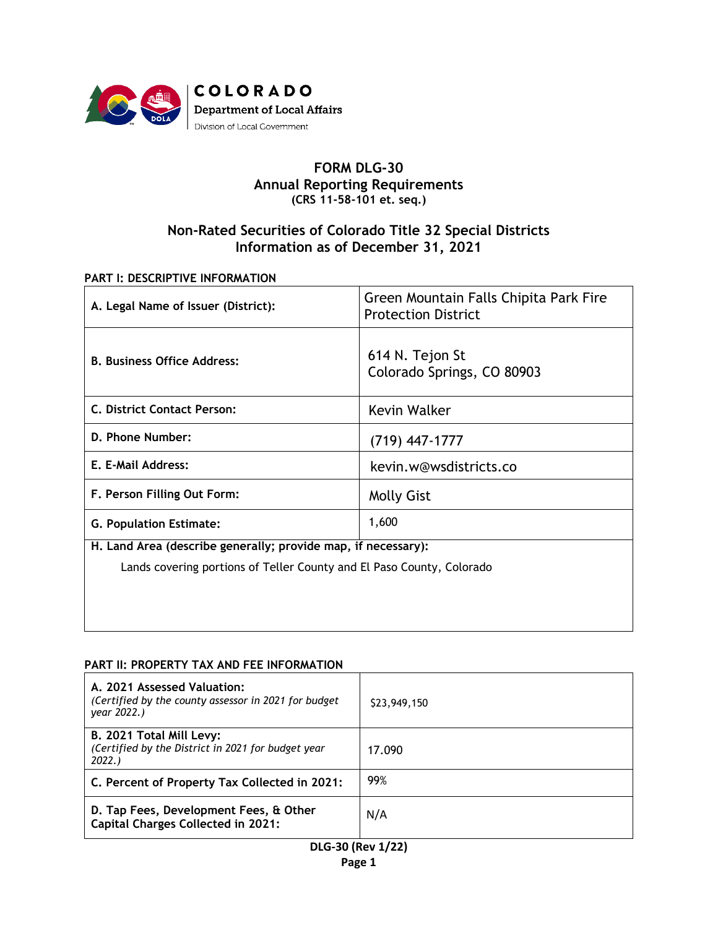

## **FORM DLG-30 Annual Reporting Requirements (CRS 11-58-101 et. seq.)**

# **Non-Rated Securities of Colorado Title 32 Special Districts Information as of December 31, 2021**

### **PART I: DESCRIPTIVE INFORMATION**

| A. Legal Name of Issuer (District):                                   | Green Mountain Falls Chipita Park Fire<br><b>Protection District</b> |  |  |  |  |
|-----------------------------------------------------------------------|----------------------------------------------------------------------|--|--|--|--|
| <b>B. Business Office Address:</b>                                    | 614 N. Tejon St<br>Colorado Springs, CO 80903                        |  |  |  |  |
| C. District Contact Person:                                           | Kevin Walker                                                         |  |  |  |  |
| D. Phone Number:                                                      | $(719)$ 447-1777                                                     |  |  |  |  |
| E. E-Mail Address:                                                    | kevin.w@wsdistricts.co                                               |  |  |  |  |
| F. Person Filling Out Form:                                           | <b>Molly Gist</b>                                                    |  |  |  |  |
| <b>G. Population Estimate:</b>                                        | 1,600                                                                |  |  |  |  |
| H. Land Area (describe generally; provide map, if necessary):         |                                                                      |  |  |  |  |
| Lands covering portions of Teller County and El Paso County, Colorado |                                                                      |  |  |  |  |
|                                                                       |                                                                      |  |  |  |  |

#### **PART II: PROPERTY TAX AND FEE INFORMATION**

| A. 2021 Assessed Valuation:<br>(Certified by the county assessor in 2021 for budget<br>year 2022.) | \$23,949,150 |
|----------------------------------------------------------------------------------------------------|--------------|
| B. 2021 Total Mill Levy:<br>(Certified by the District in 2021 for budget year)<br>2022.           | 17.090       |
| C. Percent of Property Tax Collected in 2021:                                                      | 99%          |
| D. Tap Fees, Development Fees, & Other<br><b>Capital Charges Collected in 2021:</b>                | N/A          |